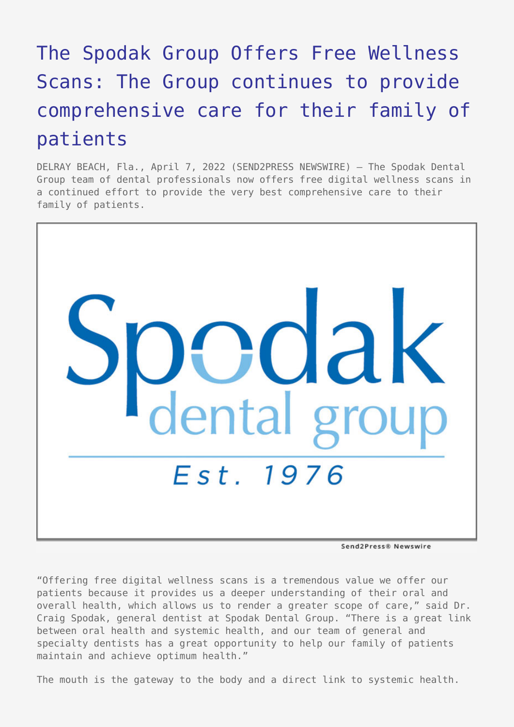## [The Spodak Group Offers Free Wellness](https://www.send2press.com/wire/the-spodak-group-offers-free-wellness-scans-the-group-continues-to-provide-comprehensive-care-for-their-family-of-patients/) [Scans: The Group continues to provide](https://www.send2press.com/wire/the-spodak-group-offers-free-wellness-scans-the-group-continues-to-provide-comprehensive-care-for-their-family-of-patients/) [comprehensive care for their family of](https://www.send2press.com/wire/the-spodak-group-offers-free-wellness-scans-the-group-continues-to-provide-comprehensive-care-for-their-family-of-patients/) [patients](https://www.send2press.com/wire/the-spodak-group-offers-free-wellness-scans-the-group-continues-to-provide-comprehensive-care-for-their-family-of-patients/)

DELRAY BEACH, Fla., April 7, 2022 (SEND2PRESS NEWSWIRE) — The Spodak Dental Group team of dental professionals now offers free digital wellness scans in a continued effort to provide the very best comprehensive care to their family of patients.



Send2Press® Newswire

"Offering free digital wellness scans is a tremendous value we offer our patients because it provides us a deeper understanding of their oral and overall health, which allows us to render a greater scope of care," said Dr. Craig Spodak, general dentist at Spodak Dental Group. "There is a great link between oral health and systemic health, and our team of general and specialty dentists has a great opportunity to help our family of patients maintain and achieve optimum health."

The mouth is the gateway to the body and a direct link to systemic health.